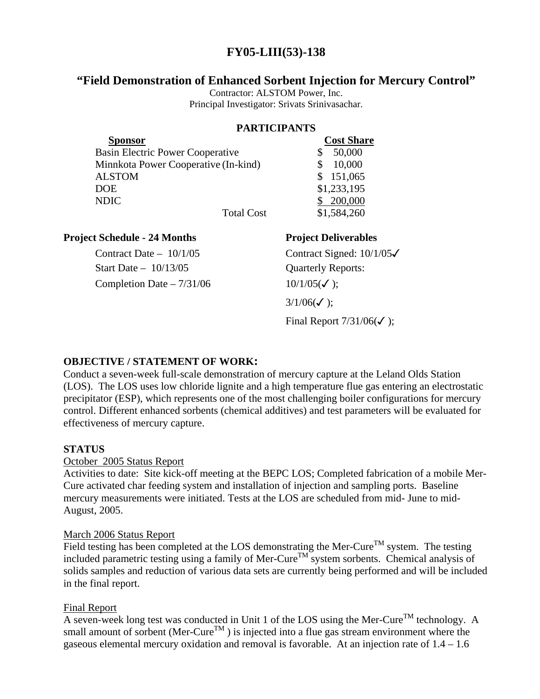# **FY05-LIII(53)-138**

## **"Field Demonstration of Enhanced Sorbent Injection for Mercury Control"**

Contractor: ALSTOM Power, Inc. Principal Investigator: Srivats Srinivasachar.

## **PARTICIPANTS**

| <b>Sponsor</b>                       | <b>Cost Share</b> |
|--------------------------------------|-------------------|
| Basin Electric Power Cooperative     | 50,000            |
| Minnkota Power Cooperative (In-kind) | 10,000            |
| <b>ALSTOM</b>                        | 151,065           |
| DOE.                                 | \$1,233,195       |
| <b>NDIC</b>                          | 200,000           |
| <b>Total Cost</b>                    | \$1,584,260       |

## **Project Schedule - 24 Months Project Deliverables**

Start Date – 10/13/05 Quarterly Reports: Completion Date –  $7/31/06$  10/1/05( $\checkmark$ );

Contract Date –  $10/1/05$  Contract Signed:  $10/1/05\checkmark$  $3/1/06($  $\checkmark$  );

Final Report  $7/31/06(\checkmark)$ ;

## **OBJECTIVE / STATEMENT OF WORK:**

Conduct a seven-week full-scale demonstration of mercury capture at the Leland Olds Station (LOS). The LOS uses low chloride lignite and a high temperature flue gas entering an electrostatic precipitator (ESP), which represents one of the most challenging boiler configurations for mercury control. Different enhanced sorbents (chemical additives) and test parameters will be evaluated for effectiveness of mercury capture.

## **STATUS**

October 2005 Status Report

Activities to date: Site kick-off meeting at the BEPC LOS; Completed fabrication of a mobile Mer-Cure activated char feeding system and installation of injection and sampling ports. Baseline mercury measurements were initiated. Tests at the LOS are scheduled from mid- June to mid-August, 2005.

### March 2006 Status Report

Field testing has been completed at the LOS demonstrating the Mer-Cure<sup>TM</sup> system. The testing included parametric testing using a family of Mer-Cure<sup>TM</sup> system sorbents. Chemical analysis of solids samples and reduction of various data sets are currently being performed and will be included in the final report.

## Final Report

A seven-week long test was conducted in Unit 1 of the LOS using the Mer-Cure<sup>TM</sup> technology. A small amount of sorbent (Mer-Cure<sup>TM</sup>) is injected into a flue gas stream environment where the gaseous elemental mercury oxidation and removal is favorable. At an injection rate of 1.4 – 1.6